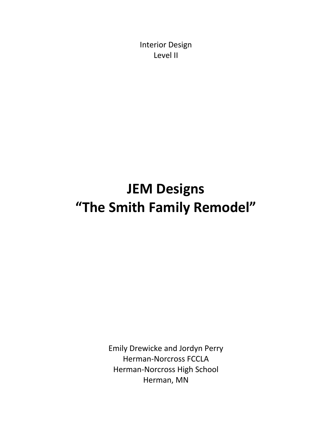Interior Design Level II

## **JEM Designs "The Smith Family Remodel"**

Emily Drewicke and Jordyn Perry Herman-Norcross FCCLA Herman-Norcross High School Herman, MN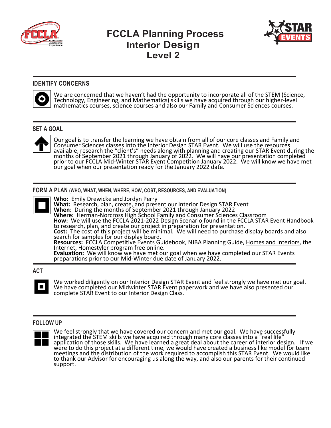

### **FCCLA Planning Process Interior Design Level 2**



#### **IDENTIFY CONCERNS**



We are concerned that we haven't had the opportunity to incorporate all of the STEM (Science, Technology, Engineering, and Mathematics) skills we have acquired through our higher-level mathematics courses, science courses and also our Family and Consumer Sciences courses.

#### **SET A GOAL**



Our goal is to transfer the learning we have obtain from all of our core classes and Family and Consumer Sciences classes into the Interior Design STAR Event. We will use the resources available, research the "client's" needs along with planning and creating our STAR Event during the<br>months of September 2021 through January of 2022. We will have our presentation completed<br>prior to our FCCLA Mid-Winter ST our goal when our presentation ready for the January 2022 date.

**FORM A PLAN (WHO, WHAT, WHEN, WHERE, HOW, COST, RESOURCES, AND EVALUATION)**



**Who:** Emily Drewicke and Jordyn Perry **What:** Research, plan, create, and present our Interior Design STAR Event **When**: During the months of September 2021 through January 2022 **Where:** Herman-Norcross High School Family and Consumer Sciences Classroom **How:** We will use the FCCLA 2021-2022 Design Scenario found in the FCCLA STAR Event Handbook to research, plan, and create our project in preparation for presentation. **Cost:** The cost of this project will be minimal. We will need to purchase display boards and also<br>search for samples for our display board. **Resources:** FCCLA Competitive Events Guidebook, NJBA Planning Guide, Homes and Interiors, the Internet, Homestyler program free online. **Evaluation:** We will know we have met our goal when we have completed our STAR Events preparations prior to our Mid-Winter due date of January 2022.

#### **ACT**



We worked diligently on our Interior Design STAR Event and feel strongly we have met our goal.<br>We have completed our Midwinter STAR Event paperwork and we have also presented our complete STAR Event to our Interior Design Class.

#### **FOLLOW UP**



We feel strongly that we have covered our concern and met our goal. We have successfully integrated the STEM skills we have acquired through many core classes into a "real life" application of those skills. We have learned a great deal about the career of interior design. If we were to do this project at a different time, we would have created a business like model for team meetings and the distribution of the work required to accomplish this STAR Event. We would like to thank our Advisor for encouraging us along the way, and also our parents for their continued support.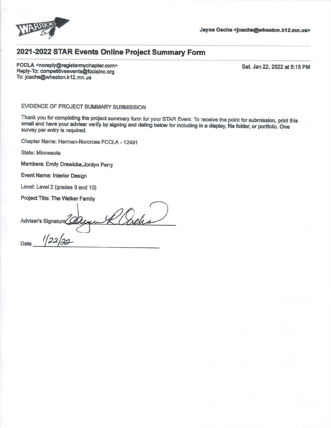

#### 2021-2022 STAR Events Online Project Summary Form

FCCLA <noreply@registermychapter.com> Reply-To: competitiveevents@fcclainc.org To: joachs@wheaton.k12.mn.us

Sat, Jan 22, 2022 at 5:15 PM

#### EVIDENCE OF PROJECT SUMMARY SUBMISSION

Thank you for completing the project summary form for your STAR Event. To receive the point for submission, print this email and have your adviser verify by signing and dating below for including in a display, file folder, or portfolio. One survey per entry is required.

Chapter Name: Herman-Norcross FCCLA - 12491

State: Minnesota

Date

Members: Emily Drewicke, Jordyn Perry

Event Name: Interior Design

Level: Level 2 (grades 9 and 10)

Project Title: The Walker Family

R. acha Adviser's Signature